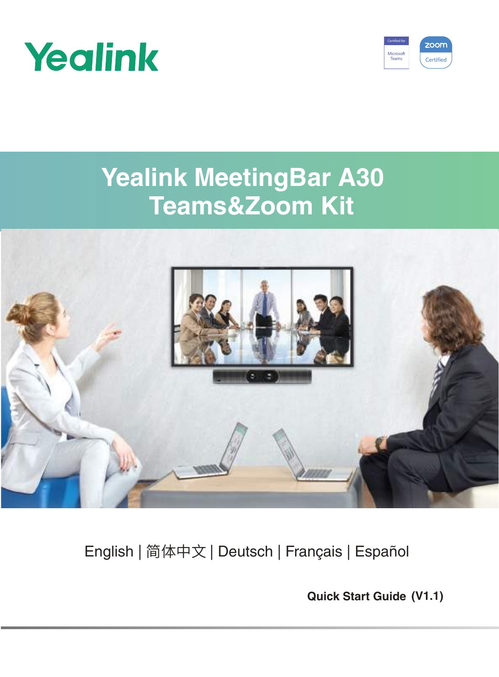



# **Yealink MeetingBar A30 Teams&Zoom Kit**



# English | 简体中文 | Deutsch | Français | Español

**Quick Start Guide (V1.1)**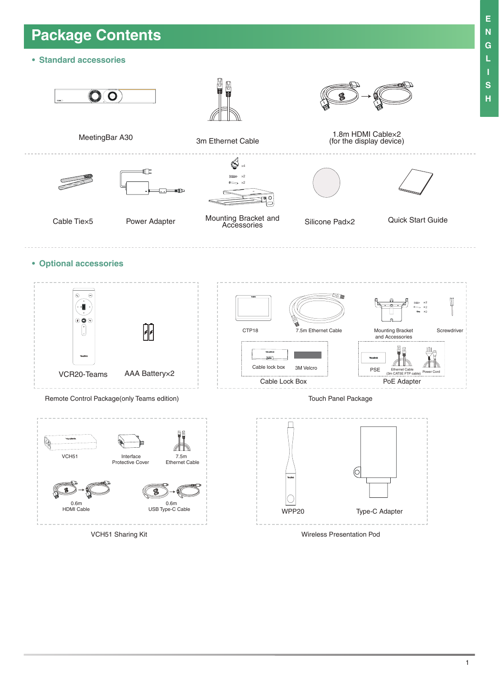# **Package Contents**

**• Standard accessories**



VCH51 Sharing Kit

Wireless Presentation Pod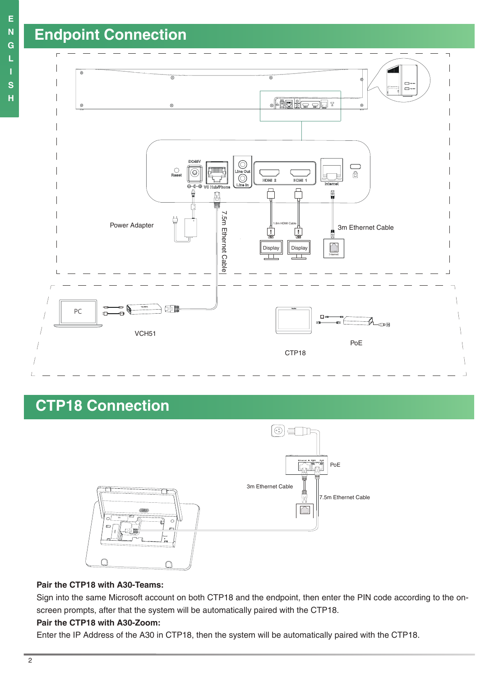

## **CTP18 Connection**



### **Pair the CTP18 with A30-Teams:**

Sign into the same Microsoft account on both CTP18 and the endpoint, then enter the PIN code according to the onscreen prompts, after that the system will be automatically paired with the CTP18.

### **Pair the CTP18 with A30-Zoom:**

Enter the IP Address of the A30 in CTP18, then the system will be automatically paired with the CTP18.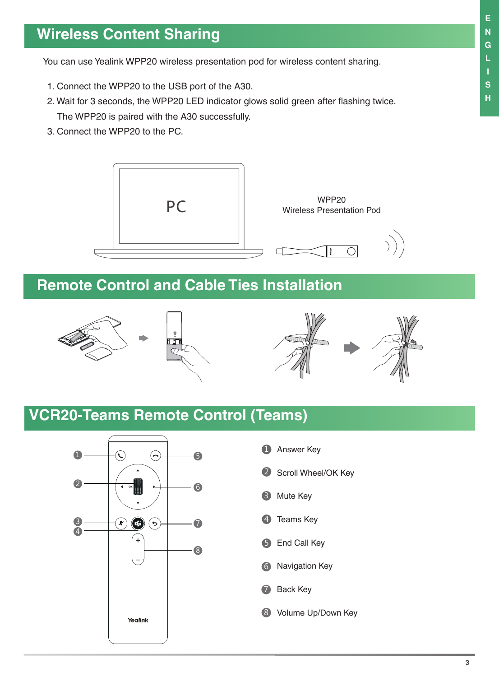## **Wireless Content Sharing**

You can use Yealink WPP20 wireless presentation pod for wireless content sharing.

- 1. Connect the WPP20 to the USB port of the A30.
- 2. Wait for 3 seconds, the WPP20 LED indicator glows solid green after flashing twice. The WPP20 is paired with the A30 successfully.
- 3. Connect the WPP20 to the PC.



## **Remote Control and Cable Ties Installation**



## **VCR20-Teams Remote Control (Teams)**



- **1** Answer Key
- 2 Scroll Wheel/OK Key
- 3 Mute Key
- 4 Teams Key
- **5** End Call Key
- 6 Navigation Key
- 7 Back Key
- 8 Volume Up/Down Key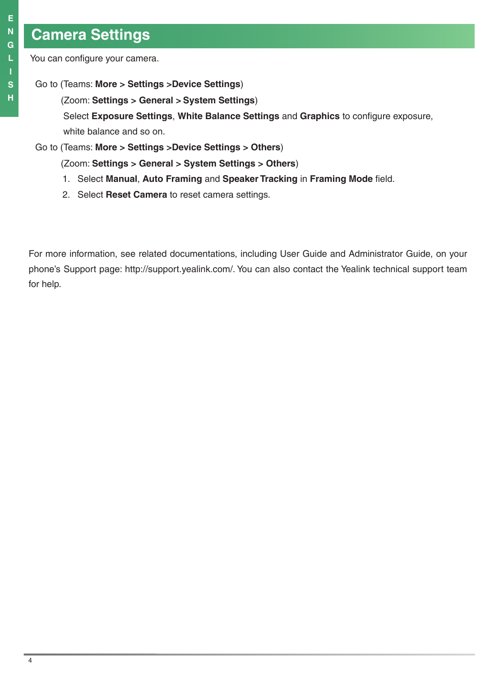## **Camera Settings**

You can configure your camera.

## Go to (Teams: **More > Settings >Device Settings**)

(Zoom: **Settings > General > System Settings**)

Select **Exposure Settings**, **White Balance Settings** and **Graphics** to configure exposure, white balance and so on.

## Go to (Teams: **More > Settings >Device Settings > Others**)

(Zoom: **Settings > General > System Settings > Others**)

- 1. Select **Manual**, **Auto Framing** and **Speaker Tracking** in **Framing Mode** field.
- 2. Select **Reset Camera** to reset camera settings.

For more information, see related documentations, including User Guide and Administrator Guide, on your phone's Support page: http://support.yealink.com/. You can also contact the Yealink technical support team for help.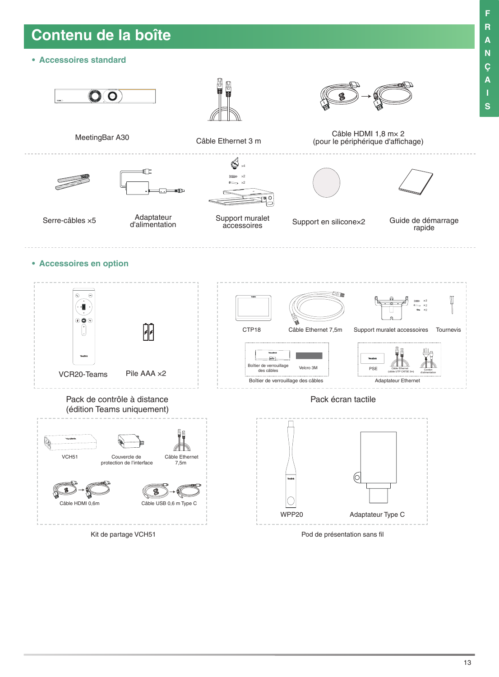## **Contenu de la boîte**

**• Accessoires standard**



Pod de présentation sans fil

**F R A N Ç A I S**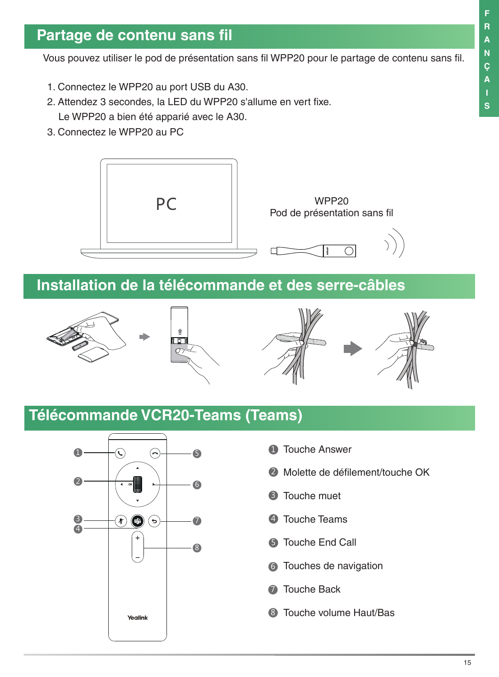## **Partage de contenu sans fil**

Vous pouvez utiliser le pod de présentation sans fil WPP20 pour le partage de contenu sans fil.

- 1. Connectez le WPP20 au port USB du A30.
- 2. Attendez 3 secondes, la LED du WPP20 s'allume en vert fixe. Le WPP20 a bien été apparié avec le A30.
- 3. Connectez le WPP20 au PC



## **Installation de la télécommande et des serre-câbles**



## **Télécommande VCR20-Teams (Teams)**



- **D** Touche Answer
- 2 Molette de défilement/touche OK
- **3** Touche muet
- 4 Touche Teams
- **5** Touche End Call
- **6** Touches de navigation
- **7** Touche Back
- **3** Touche volume Haut/Bas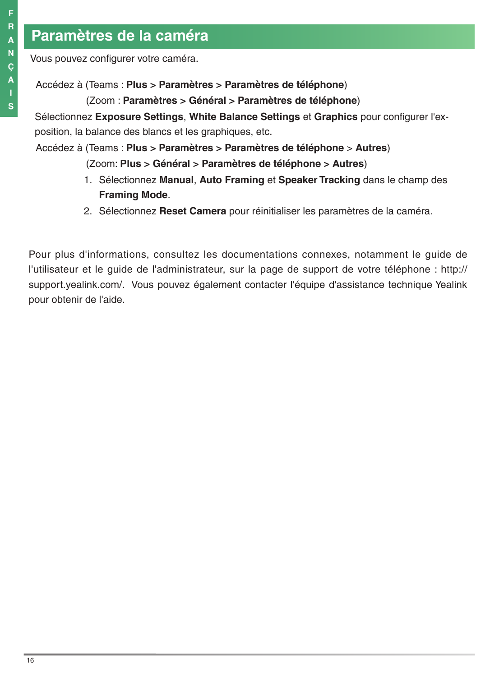## **Paramètres de la caméra**

Vous pouvez configurer votre caméra.

Accédez à (Teams : **Plus > Paramètres > Paramètres de téléphone**)

(Zoom : **Paramètres > Général > Paramètres de téléphone**)

Sélectionnez **Exposure Settings**, **White Balance Settings** et **Graphics** pour configurer l'exposition, la balance des blancs et les graphiques, etc.

Accédez à (Teams : **Plus > Paramètres > Paramètres de téléphone** > **Autres**)

(Zoom: **Plus > Général > Paramètres de téléphone > Autres**)

- 1. Sélectionnez **Manual**, **Auto Framing** et **Speaker Tracking** dans le champ des **Framing Mode**.
- 2. Sélectionnez **Reset Camera** pour réinitialiser les paramètres de la caméra.

Pour plus d'informations, consultez les documentations connexes, notamment le guide de l'utilisateur et le guide de l'administrateur, sur la page de support de votre téléphone : http:// support.yealink.com/. Vous pouvez également contacter l'équipe d'assistance technique Yealink pour obtenir de l'aide.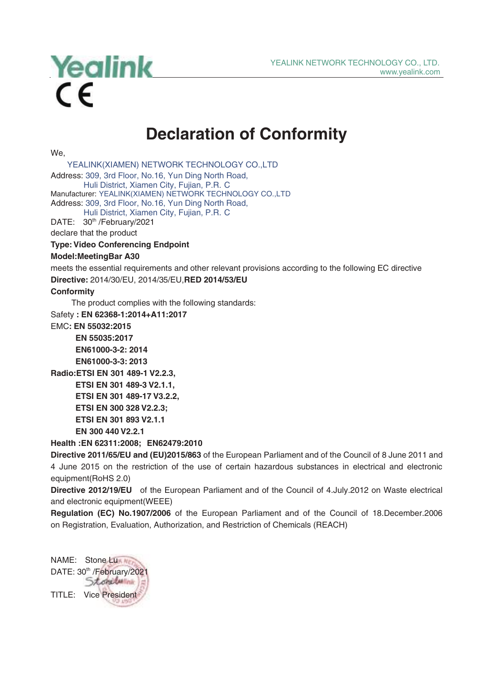

## **Declaration of Conformity**

We,

 YEALINK(XIAMEN) NETWORK TECHNOLOGY CO.,LTD Address: 309, 3rd Floor, No.16, Yun Ding North Road, Huli District, Xiamen City, Fujian, P.R. C Manufacturer: YEALINK(XIAMEN) NETWORK TECHNOLOGY CO.,LTD Address: 309, 3rd Floor, No.16, Yun Ding North Road, Huli District, Xiamen City, Fujian, P.R. C DATE: 30<sup>th</sup> /February/2021 declare that the product **Type: Video Conferencing Endpoint Model:MeetingBar A30**  meets the essential requirements and other relevant provisions according to the following EC directive **Directive:** 2014/30/EU, 2014/35/EU,**RED 2014/53/EU Conformity** The product complies with the following standards: Safety **: EN 62368-1:2014+A11:2017** EMC**: EN 55032:2015**

**EN 55035:2017 EN61000-3-2: 2014 EN61000-3-3: 2013**

**Radio:ETSI EN 301 489-1 V2.2.3, ETSI EN 301 489-3 V2.1.1, ETSI EN 301 489-17 V3.2.2, ETSI EN 300 328 V2.2.3; ETSI EN 301 893 V2.1.1 EN 300 440 V2.2.1**

**Health :EN 62311:2008; EN62479:2010** 

**Directive 2011/65/EU and (EU)2015/863** of the European Parliament and of the Council of 8 June 2011 and 4 June 2015 on the restriction of the use of certain hazardous substances in electrical and electronic equipment(RoHS 2.0)

**Directive 2012/19/EU** of the European Parliament and of the Council of 4.July.2012 on Waste electrical and electronic equipment(WEEE)

**Regulation (EC) No.1907/2006** of the European Parliament and of the Council of 18.December.2006 on Registration, Evaluation, Authorization, and Restriction of Chemicals (REACH)

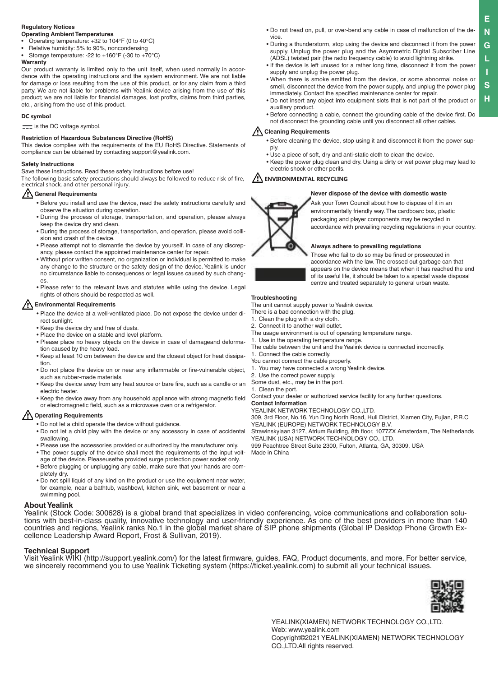### **Regulatory Notices**

### **Operating Ambient Temperatures**

- Operating temperature: +32 to 104°F (0 to 40°C)
- Relative humidity: 5% to 90%, noncondensing
- Storage temperature: -22 to +160°F (-30 to +70°C)

### **Warranty**

Our product warranty is limited only to the unit itself, when used normally in accordance with the operating instructions and the system environment. We are not liable for damage or loss resulting from the use of this product, or for any claim from a third party. We are not liable for problems with Yealink device arising from the use of this product; we are not liable for financial damages, lost profits, claims from third parties, etc., arising from the use of this product.

### **DC symbol**

 $\equiv$  is the DC voltage symbol.

### **Restriction of Hazardous Substances Directive (RoHS)**

This device complies with the requirements of the EU RoHS Directive. Statements of compliance can be obtained by contacting support@yealink.com.

### **Safety Instructions**

Save these instructions. Read these safety instructions before use!

The following basic safety precautions should always be followed to reduce risk of fire, electrical shock, and other personal injury.

### **General Requirements**

- Before you install and use the device, read the safety instructions carefully and observe the situation during operation.
- During the process of storage, transportation, and operation, please always keep the device dry and clean.
- During the process of storage, transportation, and operation, please avoid collision and crash of the device.
- Please attempt not to dismantle the device by yourself. In case of any discrepancy, please contact the appointed maintenance center for repair.
- Without prior written consent, no organization or individual is permitted to make any change to the structure or the safety design of the device. Yealink is under no circumstance liable to consequences or legal issues caused by such changes.
- Please refer to the relevant laws and statutes while using the device. Legal rights of others should be respected as well.

### **Environmental Requirements**

- Place the device at a well-ventilated place. Do not expose the device under direct sunlight.
- Keep the device dry and free of dusts.
- Place the device on a stable and level platform.
- Please place no heavy objects on the device in case of damageand deformation caused by the heavy load.
- Keep at least 10 cm between the device and the closest object for heat dissipation.
- Do not place the device on or near any inflammable or fire-vulnerable object, such as rubber-made materials.
- Keep the device away from any heat source or bare fire, such as a candle or an electric heater.
- Keep the device away from any household appliance with strong magnetic field or electromagnetic field, such as a microwave oven or a refrigerator.

### **Operating Requirements**

- Do not let a child operate the device without guidance.
- Do not let a child play with the device or any accessory in case of accidental swallowing.
- Please use the accessories provided or authorized by the manufacturer only.
- The power supply of the device shall meet the requirements of the input voltage of the device. Pleaseusethe provided surge protection power socket only.
- Before plugging or unplugging any cable, make sure that your hands are completely dry.
- Do not spill liquid of any kind on the product or use the equipment near water, for example, near a bathtub, washbowl, kitchen sink, wet basement or near a swimming pool.

### **About Yealink**

Yealink (Stock Code: 300628) is a global brand that specializes in video conferencing, voice communications and collaboration solutions with best-in-class quality, innovative technology and user-friendly experience. As one of the best providers in more than 140 countries and regions, Yealink ranks No.1 in the global market share of SIP phone shipments (Global IP Desktop Phone Growth Excellence Leadership Award Report, Frost & Sullivan, 2019).

### **Technical Support**

Visit Yealink WIKI (http://support.yealink.com/) for the latest firmware, guides, FAQ, Product documents, and more. For better service, we sincerely recommend you to use Yealink Ticketing system (https://ticket.yealink.com) to submit all your technical issues.



YEALINK(XIAMEN) NETWORK TECHNOLOGY CO.,LTD. Web: www.yealink.com Copyright©2021 YEALINK(XIAMEN) NETWORK TECHNOLOGY CO.,LTD.All rights reserved.

- Do not tread on, pull, or over-bend any cable in case of malfunction of the device.
- During a thunderstorm, stop using the device and disconnect it from the power supply. Unplug the power plug and the Asymmetric Digital Subscriber Line (ADSL) twisted pair (the radio frequency cable) to avoid lightning strike.
- If the device is left unused for a rather long time, disconnect it from the power supply and unplug the power plug.
- When there is smoke emitted from the device, or some abnormal noise or smell, disconnect the device from the power supply, and unplug the power plug immediately. Contact the specified maintenance center for repair.
- Do not insert any object into equipment slots that is not part of the product or auxiliary product.
- Before connecting a cable, connect the grounding cable of the device first. Do not disconnect the grounding cable until you disconnect all other cables.

### **Cleaning Requirements**

- Before cleaning the device, stop using it and disconnect it from the power supply.
- Use a piece of soft, dry and anti-static cloth to clean the device.
- Keep the power plug clean and dry. Using a dirty or wet power plug may lead to electric shock or other perils.

### **ENVIRONMENTAL RECYCLING**

### **Never dispose of the device with domestic waste**

Ask your Town Council about how to dispose of it in an environmentally friendly way. The cardboarc box, plastic packaging and player components may be recycled in accordance with prevailing recycling regulations in your country.

### **Always adhere to prevailing regulations**

Those who fail to do so may be fined or prosecuted in accordance with the law. The crossed out garbage can that appears on the device means that when it has reached the end of its useful life, it should be taken to a special waste disposal centre and treated separately to general urban waste.

### **Troubleshooting**

The unit cannot supply power to Yealink device.

- There is a bad connection with the plug.
- 1. Clean the plug with a dry cloth.
- 2. Connect it to another wall outlet
- The usage environment is out of operating temperature range.
- 1. Use in the operating temperature range.
- The cable between the unit and the Yealink device is connected incorrectly. 1. Connect the cable correctly.
- You cannot connect the cable properly.
- 1. You may have connected a wrong Yealink device.
- 2. Use the correct power supply.

Some dust, etc., may be in the port.

1. Clean the port.

Contact your dealer or authorized service facility for any further questions. **Contact Information**

### YEALINK NETWORK TECHNOLOGY CO., LTD.

309, 3rd Floor, No.16, Yun Ding North Road, Huli District, Xiamen City, Fujian, P.R.C YEALINK (EUROPE) NETWORK TECHNOLOGY B.V.

Strawinskylaan 3127, Atrium Building, 8th floor, 1077ZX Amsterdam, The Netherlands YEALINK (USA) NETWORK TECHNOLOGY CO., LTD.

999 Peachtree Street Suite 2300, Fulton, Atlanta, GA, 30309, USA

Made in China

**E N**

**G L I S H**



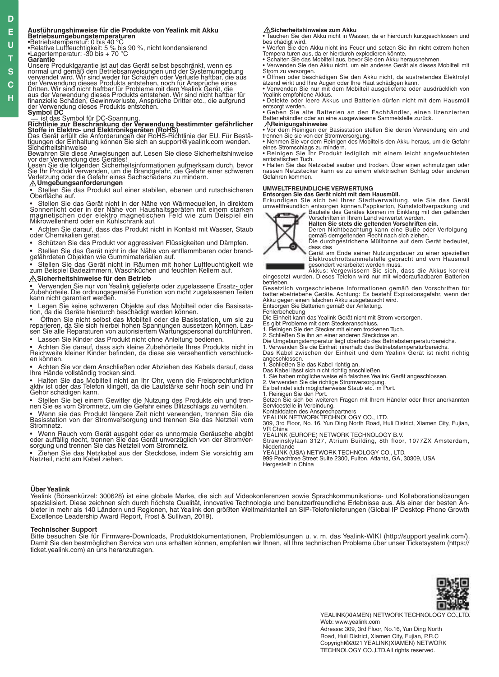## **D**

**U T S C H**

### **E**

### **Ausführungshinweise für die Produkte von Yealink mit Akku**

**Betriebsumgebungstemperaturen**<br>•Betriebstemperatur: 0 bis 40 °C<br>•Relative Luftfeuchtigkeit: 5 % bis 90 %, nicht kondensierend<br>•Lagertemperatur: -30 bis + 70 °C

Garantie<br>Unsere Produktgarantie ist auf das Gerät selbst beschränkt, wenn es

Unsere Produktgarantie ist auf das Gerät selbst beschränkt, wenn es<br>normal und gemäß den Betriebsanweisungen und der Systemungebung<br>normal und wird. Wir sind weder für Schäden oder Verluste haftbar, die aus<br>der Verwendung

Bewahren Sie diese Anweisungen auf. Lesen Sie diese Sicherheitshinweise<br>vor der Verwendung des Gerätes!<br>Lesen Sie die folgenden Sicherheitsinformationen aufmerksam durch, bevor<br>Sie Ihr Produkt verwenden, um die Brandgefahr

• Stellen Sie das Produkt auf einer stabilen, ebenen und rutschsicheren Oberfläche auf.

• Stellen Sie das Gerät nicht in der Nähe von Wärmequellen, in direktem<br>Sonnenlicht oder in der Nähe von Haushaltsgeräten mit einem starken<br>magnetischen oder elektro magnetischen Feld wie zum Beispiel ein<br>Mikrowellenherd o

• Achten Sie darauf, dass das Produkt nicht in Kontakt mit Wasser, Staub oder Chemikalien gerät.

• Schützen Sie das Produkt vor aggressiven Flüssigkeiten und Dämpfen.

• Stellen Sie das Gerät nicht in der Nähe von entflammbaren oder brand- gefährdeten Objekten wie Gummimaterialien auf.

• Stellen Sie das Gerät nicht in Räumen mit hoher Luftfeuchtigkeit wie zum Beispiel Badezimmern, Waschküchen und feuchten Kellern auf.

### **Sicherheitshinweise für den Betrieb**

• Verwenden Sie nur von Yealink gelieferte oder zugelassene Ersatz- oder<br>Zubehörteile. Die ordnungsgemäße Funktion von nicht zugelassenen Teilen<br>kann nicht garantiert werden.

• Legen Sie keine schweren Objekte auf das Mobilteil oder die Basissta- tion, da die Geräte hierdurch beschädigt werden können.

• Öffnen Sie nicht selbst das Mobilteil oder die Basisstation, um sie zu reparieren, da Sie sich hierbei hohen Spannungen aussetzen können. Las- sen Sie alle Reparaturen von autorisiertem Wartungspersonal durchführen. Lassen Sie Kinder das Produkt nicht ohne Anleitung bedienen.

• Achten Sie darauf, dass sich kleine Zubehörteile Ihres Produkts nicht in Reichweite kleiner Kinder befinden, da diese sie versehentlich verschluck- en können.

• Achten Sie vor dem Anschließen oder Abziehen des Kabels darauf, dass Ihre Hände vollständig trocken sind.

• Halten Sie das Mobilteil nicht an Ihr Ohr, wenn die Freisprechfunktion aktiv ist oder das Telefon klingelt, da die Lautstärke sehr hoch sein und Ihr Gehör schädigen kann.

• Stellen Sie bei einem Gewitter die Nutzung des Produkts ein und tren- nen Sie es vom Stromnetz, um die Gefahr eines Blitzschlags zu verhüten.

• Wenn sie das Produkt längere Zeit nicht verwenden, trennen Sie die Basisstation von der Stromversorgung und trennen Sie das Netzteil vom Stromnetz.

• Wenn Rauch vom Gerät ausgeht oder es unnormale Geräusche abgibt oder auffällig riecht, trennen Sie das Gerät unverzüglich von der Stromver- sorgung und trennen Sie das Netzteil vom Stromnetz.

• Ziehen Sie das Netzkabel aus der Steckdose, indem Sie vorsichtig am Netzteil, nicht am Kabel ziehen.

**∆Sicherheitshinweise zum Akku**<br>• Tauchen Sie den Akku nicht in Wasser, da er hierdurch kurzgeschlossen und bes chädigt wird. • Werfen Sie den Akku nicht ins Feuer und setzen Sie ihn nicht extrem hohen

Tempera turen aus, da er hierdurch explodieren könnte. • Schalten Sie das Mobilteil aus, bevor Sie den Akku herausnehmen.

• Verwenden Sie den Akku nicht, um ein anderes Gerät als dieses Mobilteil mit Strom zu versorgen. • Öffnen oder beschädigen Sie den Akku nicht, da austretendes Elektrolyt ätzend wirkt und Ihre Augen oder Ihre Haut schädigen kann.

• Verwenden Sie nur mit dem Mobilteil ausgelieferte oder ausdrücklich von Yealink empfohlene Akkus.

• Defekte oder leere Akkus und Batterien dürfen nicht mit dem Hausmüll entsorgt werden.

• Geben Sie alte Batterien an den Fachhändler, einen lizenzierten Batteriehändler oder an eine ausgewiesene Sammelstelle zurück.

 **∕∆Reinigungshinweise**<br>• Vor dem Reinigen der Basisstation stellen Sie deren Verwendung ein und<br>trennen Sie sie von der Stromversorgung.

• Nehmen Sie vor dem Reinigen des Mobilteils den Akku heraus, um die Gefahr eines Stromschlags zu mindern. • Reinigen Sie Ihr Produkt lediglich mit einem leicht angefeuchteten

antistatischen Tuch. • Halten Sie das Netzkabel sauber und trocken. Über einen schmutzigen oder

nassen Netzstecker kann es zu einem elektrischen Schlag oder anderen Gefahren kommen.

### **UMWELTFREUNDLICHE VERWERTUNG**

**Entsorgen Sie das Gerät nicht mit dem Hausmüll.** Erkundigen Sie sich bei Ihrer Stadtverwaltung, wie Sie das Gerät umweltfreundlich entsorgen können.Pappkarton, Kunststoffverpackung und Bauteile des Gerätes können im Einklang mit den geltenden



Vorschriften in Ihrem Land verwertet werden. **Halten Sie stets die geltenden Vorschriften ein.**

Deren Nichtbeachtung kann eine Buße oder Verfolgung gemäß demgeltenden Recht nach sich ziehen. Die durchgestrichene Mülltonne auf dem Gerät bedeutet, dass das

Gerät am Ende seiner Nutzungsdauer zu einer speziellen Elektroschrottsammelstelle gebracht und vom Hausmüll

gesondert verarbeitet werden muss. Akkus: Vergewissern Sie sich, dass die Akkus korrekt eingesetzt wurden. Dieses Telefon wird nur mit wiederaufladbaren Batterien betrieben.

Gesetzlich vorgeschriebene Informationen gemäß den Vorschriften für batteriebetriebene Geräte. Achtung: Es besteht Explosionsgefahr, wenn der<br>Akku gegen einen falschen Akku ausgetauscht wird.<br>Entsorgen Sie Batterien gemäß der Anleitung.

Fehlerbehebung Die Einheit kann das Yealink Gerät nicht mit Strom versorgen. Es gibt Probleme mit dem Steckeranschluss.

1. Reinigen Sie den Stecker mit einem trockenen Tuch.

2. Schließen Sie ihn an einer anderen Steckdose an. Die Umgebungstemperatur liegt oberhalb des Betriebstemperaturbereichs.

1. Verwenden Sie die Einheit innerhalb des Betriebstemperaturbereichs. Das Kabel zwischen der Einheit und dem Yealink Gerät ist nicht richtig angeschlossen.

Servicestelle in Verbindung. Kontaktdaten des Ansprechpartners YEALINK NETWORK TECHNOLOGY CO., LTD.

VR China

YEALINK (EUROPE) NETWORK TECHNOLOGY B.V. Strawinskylaan 3127, Atrium Building, 8th floor, 1077ZX Amsterdam,

YEALINK (USA) NETWORK TECHNOLOGY CO., LTD. 999 Peachtree Street Suite 2300, Fulton, Atlanta, GA, 30309, USA Hergestellt in China

### **Über Yealink**

Yealink (Börsenkürzel: 300628) ist eine globale Marke, die sich auf Videokonferenzen sowie Sprachkommunikations- und Kollaborationslösungen spezialisiert. Diese zeichnen sich durch höchste Qualität, innovative Technologie und benutzerfreundliche Erlebnisse aus. Als einer der besten Anbieter in mehr als 140 Ländern und Regionen, hat Yealink den größten Weltmarktanteil an SIP-Telefonlieferungen (Global IP Desktop Phone Growth Excellence Leadership Award Report, Frost & Sullivan, 2019).

### **Technischer Support**

Bitte besuchen Sie für Firmware-Downloads, Produktdokumentationen, Problemlösungen u. v. m. das Yealink-WIKI (http://support.yealink.com/). Damit Sie den bestmöglichen Service von uns erhalten können, empfehlen wir Ihnen, all Ihre technischen Probleme über unser Ticketsystem (https:// ticket.yealink.com) an uns heranzutragen.



YEALINK(XIAMEN) NETWORK TECHNOLOGY CO.,LTD. Web: www.yealink.com Adresse: 309, 3rd Floor, No.16, Yun Ding North Road, Huli District, Xiamen City, Fujian, P.R.C Copyright©2021 YEALINK(XIAMEN) NETWORK TECHNOLOGY CO.,LTD.All rights reserved.

1. Schließen Sie das Kabel richtig an.<br>Das Kabel lässt sich nicht richtig anschließen.<br>1. Sie haben möglicherweise ein falsches Yealink Gerät angeschlossen.<br>2. Verwenden Sie die richtige Stromversorgung.<br>Es befindet sich m

309, 3rd Floor, No. 16, Yun Ding North Road, Huli District, Xiamen City, Fujian,

**Niederlande**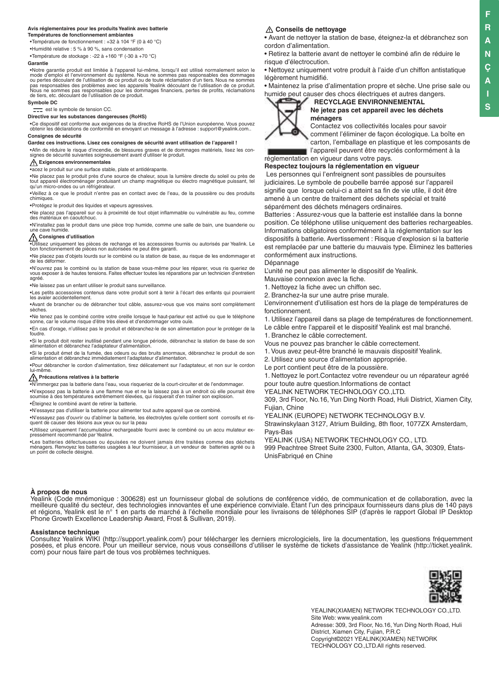#### **Avis réglementaires pour les produits Yealink avec batterie Températures de fonctionnement ambiantes**

•Température de fonctionnement : +32 à 104 °F (0 à 40 °C)

•Humidité relative : 5 % à 90 %, sans condensation

•Température de stockage : -22 à +160 °F (-30 à +70 °C) **Garantie**

•Notre garantie produit est limitée à l'appareil lui-même, lorsqu'il est utilisé normalement selon le mode d'emploi et l'environnement du système. Nous ne sommes pas responsables des dommages<br>ou pertes découlant de l'utilisation de ce produit ou de toute réclamation d'un tiers. Nous ne sommes<br>pas responsables des problèmes de tiers, etc. découlant de l'utilisation de ce produit.

### **Symbole DC**

 $\equiv$  est le symbole de tension CC.

### **Directive sur les substances dangereuses (RoHS)**

•Ce dispositif est conforme aux exigences de la directive RoHS de l'Union européenne. Vous pouvez obtenir les déclarations de conformité en envoyant un message à l'adresse : support@yealink.com.. **Consignes de sécurité**

### **Gardez ces instructions. Lisez ces consignes de sécurité avant utilisation de l'appareil !**

•Afin de réduire le risque d'incendie, de blessures graves et de dommages matériels, lisez les con-signes de sécurité suivantes soigneusement avant d'utiliser le produit.

## **Exigences environnementales**<br> **Exigences environnementales**

•acez le produit sur une surface stable, plate et antidérapante.

•Ne placez pas le produit près d'une source de chaleur, sous la lumière directe du soleil ou près de tout appareil électroménager produisant un champ magnétique ou électro magnétique puissant, tel qu'un micro-ondes ou un réfrigérateur.

•Veillez à ce que le produit n'entre pas en contact avec de l'eau, de la poussière ou des produits chimiques.

•Protégez le produit des liquides et vapeurs agressives.

•Ne placez pas l'appareil sur ou à proximité de tout objet inflammable ou vulnérable au feu, comme des matériaux en caoutchouc.

•N'installez pas le produit dans une pièce trop humide, comme une salle de bain, une buanderie ou une cave humide.

#### **Consignes d'utilisation**

•Utilisez uniquement les pièces de rechange et les accessoires fournis ou autorisés par Yealink. Le bon fonctionnement de pièces non autorisées ne peut être garanti.

•Ne placez pas d'objets lourds sur le combiné ou la station de base, au risque de les endommager et de les déformer.

•N'ouvrez pas le combiné ou la station de base vous-même pour les réparer, vous ris queriez de vous exposer à de hautes tensions. Faites effectuer toutes les réparations par un technicien d'entretien agréé.

•Ne laissez pas un enfant utiliser le produit sans surveillance.

•Les petits accessoires contenus dans votre produit sont à tenir à l'écart des enfants qui pourraient les avaler accidentellement.

•Avant de brancher ou de débrancher tout câble, assurez-vous que vos mains sont complètement sèches.

•Ne tenez pas le combiné contre votre oreille lorsque le haut-parleur est activé ou que le téléphone sonne, car le volume risque d'être très élevé et d'endommager votre ouïe.

•En cas d'orage, n'utilisez pas le produit et débranchez-le de son alimentation pour le protéger de la foudre.

•Si le produit doit rester inutilisé pendant une longue période, débranchez la station de base de son alimentation et débranchez l'adaptateur d'alimentation.

•Si le produit émet de la fumée, des odeurs ou des bruits anormaux, débranchez le produit de son alimentation et débranchez immédiatement l'adaptateur d'alimentation.

•Pour débrancher le cordon d'alimentation, tirez délicatement sur l'adaptateur, et non sur le cordon lui-même.

#### **Précautions relatives à la batterie**

•N'immergez pas la batterie dans l'eau, vous risqueriez de la court-circuiter et de l'endommager. •N'exposez pas la batterie à une flamme nue et ne la laissez pas à un endroit où elle pourrait être soumise à des températures extrêmement élevées, qui risquerait d'en traîner son explosi

•Éteignez le combiné avant de retirer la batterie.

•N'essayez pas d'utiliser la batterie pour alimenter tout autre appareil que ce combiné.

•N'essayez pas d'ouvrir ou d'abîmer la batterie, les électrolytes qu'elle contient sont corrosifs et risquent de causer des lésions aux yeux ou sur la peau

•Utilisez uniquement l'accumulateur rechargeable fourni avec le combiné ou un accu mulateur expressément recommandé par Yealink.

•Les batteries défectueuses ou épuisées ne doivent jamais être traitées comme des déchets ménagers. Renvoyez les batteries usagées à leur fournisseur, à un vendeur de batteries agréé ou à un point de collecte désigné.

### **Conseils de nettoyage**

٠

• Avant de nettoyer la station de base, éteignez-la et débranchez son cordon d'alimentation.

• Retirez la batterie avant de nettoyer le combiné afin de réduire le risque d'électrocution.

• Nettoyez uniquement votre produit à l'aide d'un chiffon antistatique légèrement humidifié.

• Maintenez la prise d'alimentation propre et sèche. Une prise sale ou humide peut causer des chocs électriques et autres dangers.



### **RECYCLAGE ENVIRONNEMENTAL Ne jetez pas cet appareil avec les déchets ménagers**

Contactez vos collectivités locales pour savoir comment l'éliminer de façon écologique. La boîte en carton, l'emballage en plastique et les composants de l'appareil peuvent être recyclés conformément à la

### réglementation en vigueur dans votre pays. **Respectez toujours la réglementation en vigueur**

 Les personnes qui l'enfreignent sont passibles de poursuites judiciaires. Le symbole de poubelle barrée apposé sur l'appareil signifie que lorsque celui-ci a atteint sa fin de vie utile, il doit être amené à un centre de traitement des déchets spécial et traité séparément des déchets ménagers ordinaires.

Batteries : Assurez-vous que la batterie est installée dans la bonne position. Ce téléphone utilise uniquement des batteries rechargeables. Informations obligatoires conformément à la réglementation sur les dispositifs à batterie. Avertissement : Risque d'explosion si la batterie est remplacée par une batterie du mauvais type. Éliminez les batteries conformément aux instructions.

Dépannage

L'unité ne peut pas alimenter le dispositif de Yealink.

Mauvaise connexion avec la fiche.

1. Nettoyez la fiche avec un chiffon sec.

2. Branchez-la sur une autre prise murale.

L'environnement d'utilisation est hors de la plage de températures de fonctionnement.

1. Utilisez l'appareil dans sa plage de températures de fonctionnement.

Le câble entre l'appareil et le dispositif Yealink est mal branché.

1. Branchez le câble correctement.

Vous ne pouvez pas brancher le câble correctement.

1. Vous avez peut-être branché le mauvais dispositif Yealink.

2. Utilisez une source d'alimentation appropriée.

Le port contient peut être de la poussière.

1. Nettoyez le port.Contactez votre revendeur ou un réparateur agréé pour toute autre question.Informations de contact

YEALINK NETWORK TECHNOLOGY CO., LTD.

309, 3rd Floor, No.16, Yun Ding North Road, Huli District, Xiamen City, Fujian, Chine

YEALINK (EUROPE) NETWORK TECHNOLOGY B.V.

Strawinskylaan 3127, Atrium Building, 8th floor, 1077ZX Amsterdam, Pays-Bas

YEALINK (USA) NETWORK TECHNOLOGY CO., LTD.

999 Peachtree Street Suite 2300, Fulton, Atlanta, GA, 30309, États-UnisFabriqué en Chine

### **À propos de nous**

Yealink (Code mnémonique : 300628) est un fournisseur global de solutions de conférence vidéo, de communication et de collaboration, avec la meilleure qualité du secteur, des technologies innovantes et une expérience conviviale. Étant l'un des principaux fournisseurs dans plus de 140 pays et régions, Yealink est le n° 1 en parts de marché à l'échelle mondiale pour les livraisons de téléphones SIP (d'après le rapport Global IP Desktop Phone Growth Excellence Leadership Award, Frost & Sullivan, 2019).

### **Assistance technique**

Consultez Yealink WIKI (http://support.yealink.com/) pour télécharger les derniers micrologiciels, lire la documentation, les questions fréquemment posées, et plus encore. Pour un meilleur service, nous vous conseillons d'utiliser le système de tickets d'assistance de Yealink (http://ticket.yealink. com) pour nous faire part de tous vos problèmes techniques.



YEALINK(XIAMEN) NETWORK TECHNOLOGY CO.,LTD. Site Web: www.yealink.com Adresse: 309, 3rd Floor, No.16, Yun Ding North Road, Huli District, Xiamen City, Fujian, P.R.C Copyright©2021 YEALINK(XIAMEN) NETWORK TECHNOLOGY CO.,LTD.All rights reserved.